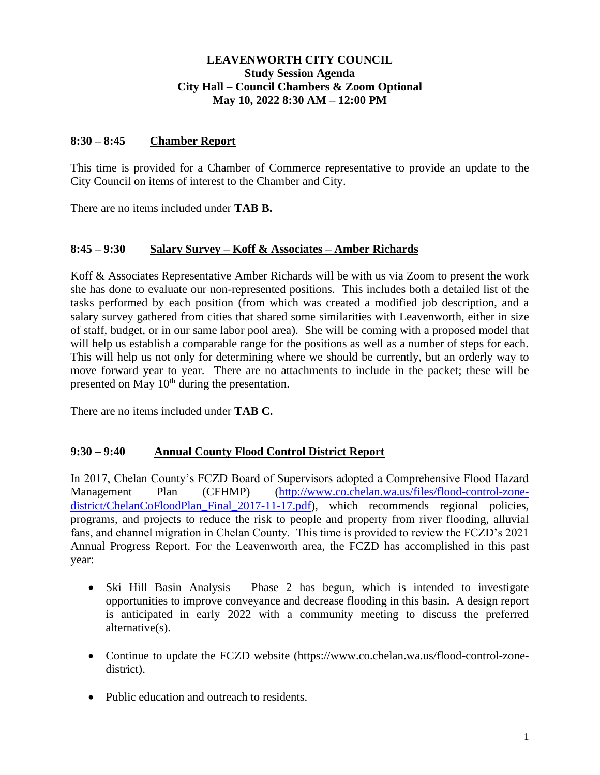# **LEAVENWORTH CITY COUNCIL Study Session Agenda City Hall – Council Chambers & Zoom Optional May 10, 2022 8:30 AM – 12:00 PM**

#### **8:30 – 8:45 Chamber Report**

This time is provided for a Chamber of Commerce representative to provide an update to the City Council on items of interest to the Chamber and City.

There are no items included under **TAB B.**

#### **8:45 – 9:30 Salary Survey – Koff & Associates – Amber Richards**

Koff & Associates Representative Amber Richards will be with us via Zoom to present the work she has done to evaluate our non-represented positions. This includes both a detailed list of the tasks performed by each position (from which was created a modified job description, and a salary survey gathered from cities that shared some similarities with Leavenworth, either in size of staff, budget, or in our same labor pool area). She will be coming with a proposed model that will help us establish a comparable range for the positions as well as a number of steps for each. This will help us not only for determining where we should be currently, but an orderly way to move forward year to year. There are no attachments to include in the packet; these will be presented on May 10<sup>th</sup> during the presentation.

There are no items included under **TAB C.**

# **9:30 – 9:40 Annual County Flood Control District Report**

In 2017, Chelan County's FCZD Board of Supervisors adopted a Comprehensive Flood Hazard Management Plan (CFHMP) [\(http://www.co.chelan.wa.us/files/flood-control-zone](http://www.co.chelan.wa.us/files/flood-control-zone-district/ChelanCoFloodPlan_Final_2017-11-17.pdf)[district/ChelanCoFloodPlan\\_Final\\_2017-11-17.pdf\)](http://www.co.chelan.wa.us/files/flood-control-zone-district/ChelanCoFloodPlan_Final_2017-11-17.pdf), which recommends regional policies, programs, and projects to reduce the risk to people and property from river flooding, alluvial fans, and channel migration in Chelan County. This time is provided to review the FCZD's 2021 Annual Progress Report. For the Leavenworth area, the FCZD has accomplished in this past year:

- Ski Hill Basin Analysis Phase 2 has begun, which is intended to investigate opportunities to improve conveyance and decrease flooding in this basin. A design report is anticipated in early 2022 with a community meeting to discuss the preferred alternative(s).
- Continue to update the FCZD website (https://www.co.chelan.wa.us/flood-control-zonedistrict).
- Public education and outreach to residents.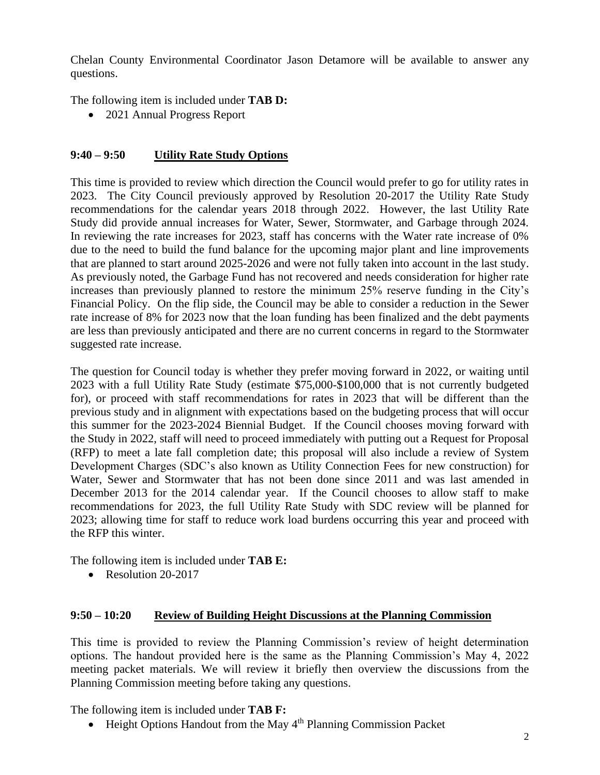Chelan County Environmental Coordinator Jason Detamore will be available to answer any questions.

The following item is included under **TAB D:**

• 2021 Annual Progress Report

# **9:40 – 9:50 Utility Rate Study Options**

This time is provided to review which direction the Council would prefer to go for utility rates in 2023. The City Council previously approved by Resolution 20-2017 the Utility Rate Study recommendations for the calendar years 2018 through 2022. However, the last Utility Rate Study did provide annual increases for Water, Sewer, Stormwater, and Garbage through 2024. In reviewing the rate increases for 2023, staff has concerns with the Water rate increase of 0% due to the need to build the fund balance for the upcoming major plant and line improvements that are planned to start around 2025-2026 and were not fully taken into account in the last study. As previously noted, the Garbage Fund has not recovered and needs consideration for higher rate increases than previously planned to restore the minimum 25% reserve funding in the City's Financial Policy. On the flip side, the Council may be able to consider a reduction in the Sewer rate increase of 8% for 2023 now that the loan funding has been finalized and the debt payments are less than previously anticipated and there are no current concerns in regard to the Stormwater suggested rate increase.

The question for Council today is whether they prefer moving forward in 2022, or waiting until 2023 with a full Utility Rate Study (estimate \$75,000-\$100,000 that is not currently budgeted for), or proceed with staff recommendations for rates in 2023 that will be different than the previous study and in alignment with expectations based on the budgeting process that will occur this summer for the 2023-2024 Biennial Budget. If the Council chooses moving forward with the Study in 2022, staff will need to proceed immediately with putting out a Request for Proposal (RFP) to meet a late fall completion date; this proposal will also include a review of System Development Charges (SDC's also known as Utility Connection Fees for new construction) for Water, Sewer and Stormwater that has not been done since 2011 and was last amended in December 2013 for the 2014 calendar year. If the Council chooses to allow staff to make recommendations for 2023, the full Utility Rate Study with SDC review will be planned for 2023; allowing time for staff to reduce work load burdens occurring this year and proceed with the RFP this winter.

The following item is included under **TAB E:**

• Resolution 20-2017

# **9:50 – 10:20 Review of Building Height Discussions at the Planning Commission**

This time is provided to review the Planning Commission's review of height determination options. The handout provided here is the same as the Planning Commission's May 4, 2022 meeting packet materials. We will review it briefly then overview the discussions from the Planning Commission meeting before taking any questions.

The following item is included under **TAB F:**

• Height Options Handout from the May 4<sup>th</sup> Planning Commission Packet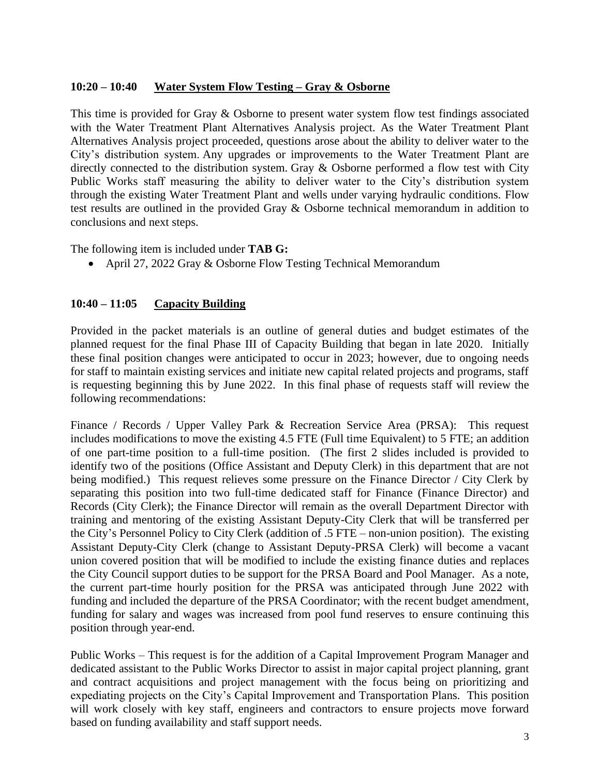#### **10:20 – 10:40 Water System Flow Testing – Gray & Osborne**

This time is provided for Gray & Osborne to present water system flow test findings associated with the Water Treatment Plant Alternatives Analysis project. As the Water Treatment Plant Alternatives Analysis project proceeded, questions arose about the ability to deliver water to the City's distribution system. Any upgrades or improvements to the Water Treatment Plant are directly connected to the distribution system. Gray & Osborne performed a flow test with City Public Works staff measuring the ability to deliver water to the City's distribution system through the existing Water Treatment Plant and wells under varying hydraulic conditions. Flow test results are outlined in the provided Gray & Osborne technical memorandum in addition to conclusions and next steps.

The following item is included under **TAB G:**

• April 27, 2022 Gray & Osborne Flow Testing Technical Memorandum

#### **10:40 – 11:05 Capacity Building**

Provided in the packet materials is an outline of general duties and budget estimates of the planned request for the final Phase III of Capacity Building that began in late 2020. Initially these final position changes were anticipated to occur in 2023; however, due to ongoing needs for staff to maintain existing services and initiate new capital related projects and programs, staff is requesting beginning this by June 2022. In this final phase of requests staff will review the following recommendations:

Finance / Records / Upper Valley Park & Recreation Service Area (PRSA): This request includes modifications to move the existing 4.5 FTE (Full time Equivalent) to 5 FTE; an addition of one part-time position to a full-time position. (The first 2 slides included is provided to identify two of the positions (Office Assistant and Deputy Clerk) in this department that are not being modified.) This request relieves some pressure on the Finance Director / City Clerk by separating this position into two full-time dedicated staff for Finance (Finance Director) and Records (City Clerk); the Finance Director will remain as the overall Department Director with training and mentoring of the existing Assistant Deputy-City Clerk that will be transferred per the City's Personnel Policy to City Clerk (addition of .5 FTE – non-union position). The existing Assistant Deputy-City Clerk (change to Assistant Deputy-PRSA Clerk) will become a vacant union covered position that will be modified to include the existing finance duties and replaces the City Council support duties to be support for the PRSA Board and Pool Manager. As a note, the current part-time hourly position for the PRSA was anticipated through June 2022 with funding and included the departure of the PRSA Coordinator; with the recent budget amendment, funding for salary and wages was increased from pool fund reserves to ensure continuing this position through year-end.

Public Works – This request is for the addition of a Capital Improvement Program Manager and dedicated assistant to the Public Works Director to assist in major capital project planning, grant and contract acquisitions and project management with the focus being on prioritizing and expediating projects on the City's Capital Improvement and Transportation Plans. This position will work closely with key staff, engineers and contractors to ensure projects move forward based on funding availability and staff support needs.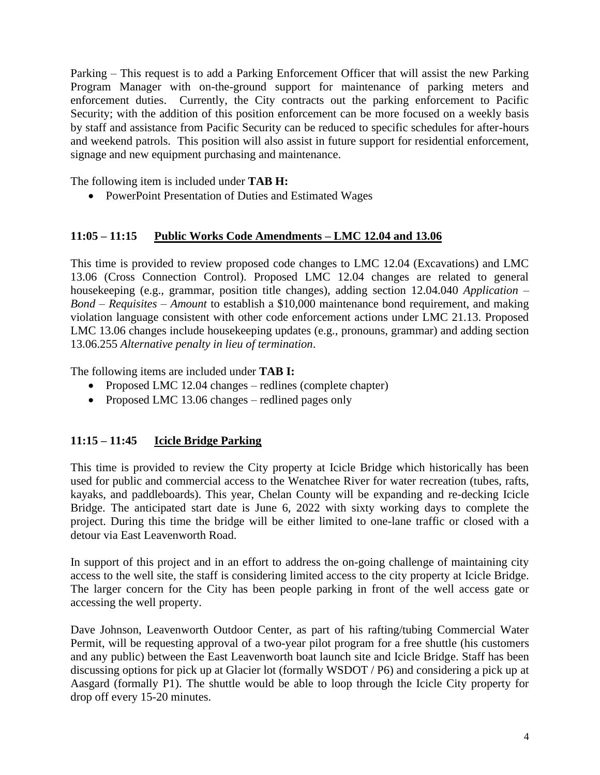Parking – This request is to add a Parking Enforcement Officer that will assist the new Parking Program Manager with on-the-ground support for maintenance of parking meters and enforcement duties. Currently, the City contracts out the parking enforcement to Pacific Security; with the addition of this position enforcement can be more focused on a weekly basis by staff and assistance from Pacific Security can be reduced to specific schedules for after-hours and weekend patrols. This position will also assist in future support for residential enforcement, signage and new equipment purchasing and maintenance.

The following item is included under **TAB H:**

• PowerPoint Presentation of Duties and Estimated Wages

# **11:05 – 11:15 Public Works Code Amendments – LMC 12.04 and 13.06**

This time is provided to review proposed code changes to LMC 12.04 (Excavations) and LMC 13.06 (Cross Connection Control). Proposed LMC 12.04 changes are related to general housekeeping (e.g., grammar, position title changes), adding section 12.04.040 *Application – Bond – Requisites – Amount* to establish a \$10,000 maintenance bond requirement, and making violation language consistent with other code enforcement actions under LMC 21.13. Proposed LMC 13.06 changes include housekeeping updates (e.g., pronouns, grammar) and adding section 13.06.255 *Alternative penalty in lieu of termination*.

The following items are included under **TAB I:**

- Proposed LMC 12.04 changes redlines (complete chapter)
- Proposed LMC 13.06 changes redlined pages only

# **11:15 – 11:45 Icicle Bridge Parking**

This time is provided to review the City property at Icicle Bridge which historically has been used for public and commercial access to the Wenatchee River for water recreation (tubes, rafts, kayaks, and paddleboards). This year, Chelan County will be expanding and re-decking Icicle Bridge. The anticipated start date is June 6, 2022 with sixty working days to complete the project. During this time the bridge will be either limited to one-lane traffic or closed with a detour via East Leavenworth Road.

In support of this project and in an effort to address the on-going challenge of maintaining city access to the well site, the staff is considering limited access to the city property at Icicle Bridge. The larger concern for the City has been people parking in front of the well access gate or accessing the well property.

Dave Johnson, Leavenworth Outdoor Center, as part of his rafting/tubing Commercial Water Permit, will be requesting approval of a two-year pilot program for a free shuttle (his customers and any public) between the East Leavenworth boat launch site and Icicle Bridge. Staff has been discussing options for pick up at Glacier lot (formally WSDOT / P6) and considering a pick up at Aasgard (formally P1). The shuttle would be able to loop through the Icicle City property for drop off every 15-20 minutes.